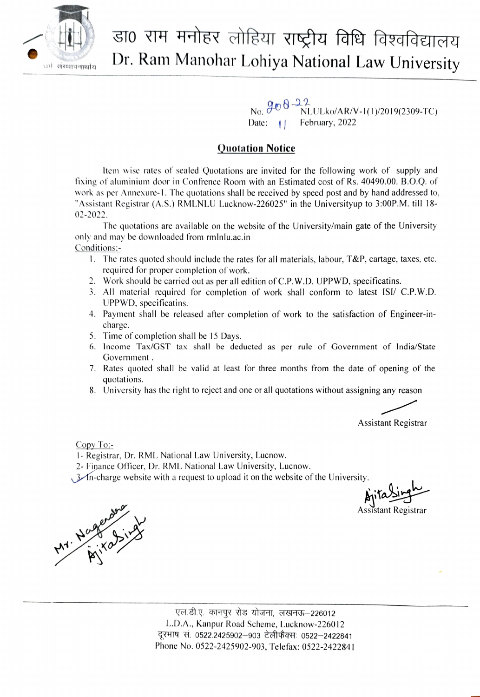

## डा0 राम मनोहर लोहिया राष्ट्रीय विधि विश्वविद्यालय Dr. Ram Manohar Lohiya National Law University

 $908 - 22$ Date:  $\vert \vert$ NLULko/AR/V-I()/2019(2309-TC) February, 2022

## Quotation Notice

Item wise rates of sealed Quotations are invited for the following work of supply and fixing of aluminium door in Confrence Room with an Estimated cost of Rs. 40490.00. B.O.Q. of work as per Annexure-1. The quotations shall be received by speed post and by hand addressed to, "Assistant Registrar (A.S.) RMLNLU Lucknow-226025" in the Universityup to 3:00P.M. till 18- 02-2022.

The quotations are available on the website of the University/main gate of the University only and may be downloaded from rmlnlu.ac.in Conditions:-

- 1. The rates quoted should include the rates for all materials, labour,  $T\&P$ , cartage, taxes, etc. required for proper completion of work.
- 2. Work should be carried out as per all edition of C.P. W.D. UPPWD, specificatins.
- 3. All material required for completion of work shall conform to latest ISI/ C.P.W.D. UPPWD, specificatins.
- 4. Payment shall be released after completion of work to the satisfaction of Engineer-incharge.
- 5. Time of completion shall be 15 Days.
- 6. Income Tax/GST tax shall be deducted as per rule of Government of India/State Government .
- 7. Rates quoted shall be valid at least for three months from the date of opening of the quotations.
- 8. University has the right to reject and one or all quotations without assigning any reason

Assistant Registrar

Copy To

- 1- Registrar, Dr. RMIL National Law University, Lucnow.
- 2- Fipance Officer, Dr. RML National Law University, Lucnow.

 $\mathcal{A}_{\text{A}}$  and  $\mathcal{A}_{\text{B}}$  charge website with a request to upload it on the website of the University.

Apitaling M

ical Sing

एल.डी.ए. कानपूर रोड योजना, लखनऊ–226012 L.D.A., Kanpur Road Scheme, Lucknow-226012 दूरभाष सं. 0522.2425902–903 टेलीफैक्सः 0522–2422841 Phone No. 0522-2425902-903, Telefax: 0522-2422841